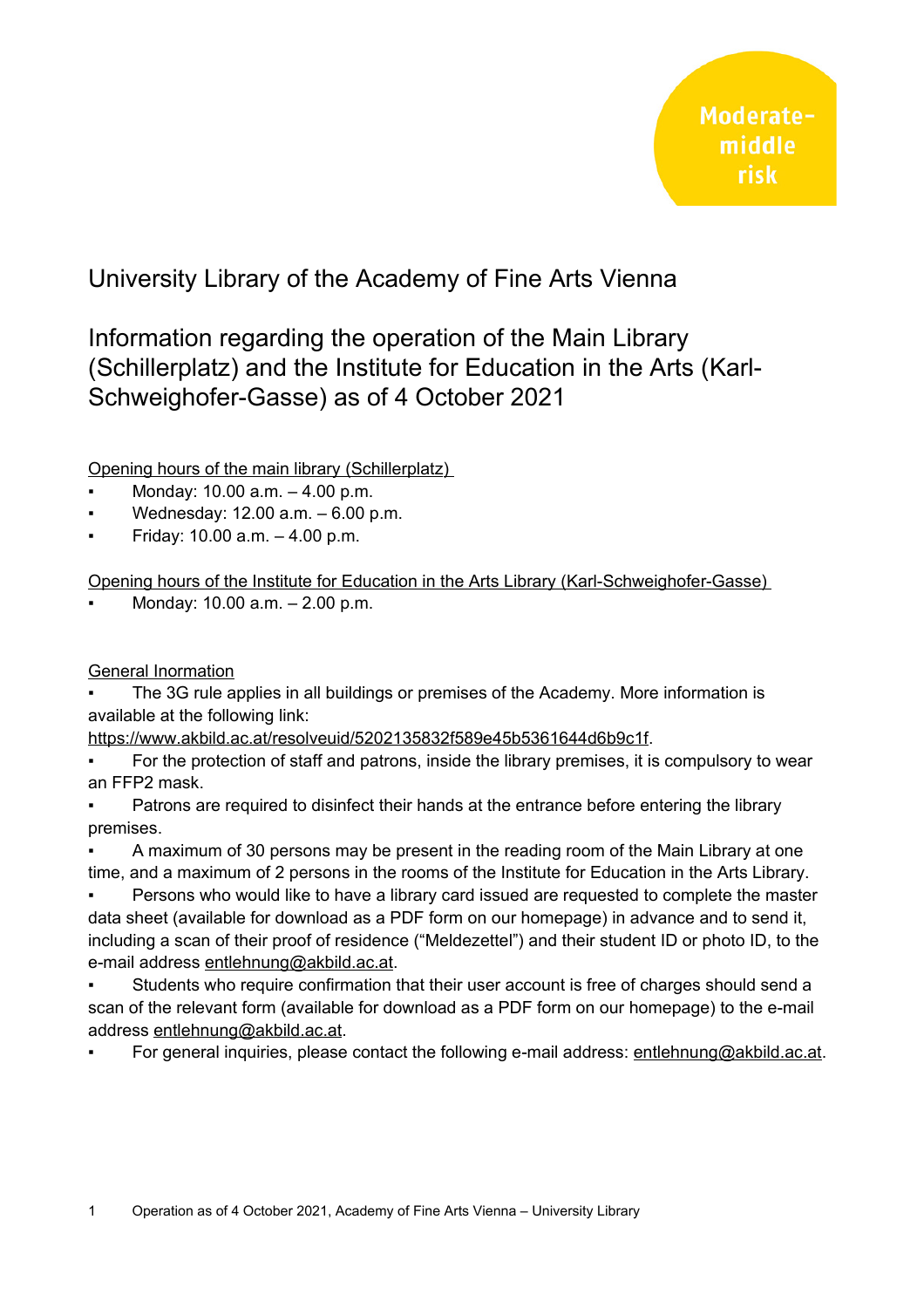## University Library of the Academy of Fine Arts Vienna

## Information regarding the operation of the Main Library (Schillerplatz) and the Institute for Education in the Arts (Karl-Schweighofer-Gasse) as of 4 October 2021

Opening hours of the main library (Schillerplatz)

- Monday:  $10.00$  a.m.  $-4.00$  p.m.
- Wednesday:  $12.00$  a.m.  $-6.00$  p.m.
- Friday:  $10.00$  a.m.  $-4.00$  p.m.

Opening hours of the Institute for Education in the Arts Library ( Karl-Schweighofer-Gasse)

Monday: 10.00 a.m. - 2.00 p.m.

## General Inormation

The 3G rule applies in all buildings or premises of the Academy. More information is available at the following link:

[https://www.akbild.ac.at/resolveuid/5202135832f589e45b5361644d6b9c1f.](https://www.akbild.ac.at/resolveuid/5202135832f589e45b5361644d6b9c1f)

- For the protection of staff and patrons, inside the library premises, it is compulsory to wear an FFP2 mask.
- Patrons are required to disinfect their hands at the entrance before entering the library premises.

A maximum of 30 persons may be present in the reading room of the Main Library at one time, and a maximum of 2 persons in the rooms of the Institute for Education in the Arts Library.

- Persons who would like to have a library card issued are requested to complete the master data sheet (available for download as a PDF form on our homepage) in advance and to send it, including a scan of their proof of residence ("Meldezettel") and their student ID or photo ID, to the e-mail address [entlehnung@akbild.ac.at.](mailto:entlehnung@akbild.ac.at)
- Students who require confirmation that their user account is free of charges should send a scan of the relevant form (available for download as a PDF form on our homepage) to the e-mail address [entlehnung@akbild.ac.at.](mailto:entlehnung@akbild.ac.at)
- For general inquiries, please contact the following e-mail address: [entlehnung@akbild.ac.at.](mailto:entlehnung@akbild.ac.at)